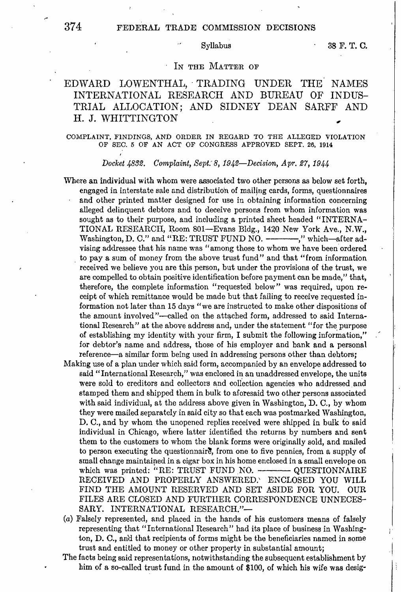# 374 FEDERAL TRADE COMMISSION DECISIONS

 $\ddot{\phantom{a}}$ 

# IN THE MATTER OF

# EDWARD LOWENTHAL, TRADING UNDER THE NAMES INTERNATIONAL RESEARCH AND BUREAU OF INDUS-TRIAL ALLOCATION; AND SIDNEY DEAN SARFF AND H.J. WHITTINGTON

## COMPLAINT, FINDINGS, AND ORDER IN REGARD TO THE ALLEGED VIOLATION OF SEC. 5 OF AN ACT OF CONGRESS APPROVED SEPT. 26, 1914

*Docket 4832. Complaint, Sept: 8, 1942-Decision, Apr, 27, 1944* 

- Where an individual with whom were associated two other persons as below set forth, engaged in interstate sale and distribution of mailing cards, forms, questionnaires and other printed matter designed for use in obtaining information concerning alleged delinquent debtors and to deceive persons from whom information was sought as to their purpose, and including a printed sheet headed "INTERNA-TIONAL RESEARCH, Room 801-Evans Bldg., 1420 New York Ave., N.W., Washington, D. C." and "RE: TRUST FUND NO. --------," which-after advising addressee that his name was "among those to whom we have been ordered . to pay a sum of money from the above trust fund" and that "from information received we believe you are this person, but under the provisions of the trust, we are compelled to obtain positive identification before payment can be made," that, therefore, the complete information "requested below" was required, upon receipt of which remittance would be made but that failing to receive requested information not later than 15 days "we are instructed to make other dispositions of the amount involved"--called on the attached form, addressed to said International Research" at the above address and, under the statement "for the purpose of establishing my identity with your firm, I submit the following information," for debtor's name and address, those of his employer and bank and a personal reference—a similar form being used in addressing persons other than debtors;
- Making use of a plan under which said form, accompanied by an envelope addressed to said "International Research," was enclosed in an unaddressed envelope, the units were sold to creditors and collectors and collection agencies who addressed and stamped them and shipped them in bulk to aforesaid two other persons associated with said individual, at the address above given in Washington, D. C., by whom they were mailed separately in said city so that each was postmarked Washington, D. C., and by whom the unopened replies received were shipped in bulk to said individual in Chicago, where latter identified the returns by numbers and sent them to the customers to whom the blank forms were originally sold, and mailed to person executing the questionnaire, from one to five pennies, from a supply of small change [maintaip.ed](https://maintaip.ed) in a cigar box in his home enclosed in **a** small envelope on which was printed: "RE: TRUST FUND NO. ---QUESTIONNAIRE RECEIVED AND PROPERLY ANSWERED.' ENCLOSED YOU WILL FIND THE AMOUNT RESERVED AND SET ASIDE FOR YOU. OUR FILES ARE CLOSED AND FURTHER CORRESPONDENCE UNNECES-SARY. INTERNATIONAL RESEARCH."-
- (a) Falsely represented, and placed in the hands of his customers means of falsely representing that "International Research" had its place of business in Washington, D. C., and that recipients of forms might be the beneficiaries named in some trust and entitled to money or other property in substantial amount;
- The facts being said representations, notwithstanding the subsequent establishment by him of a so-called trust fund in the amount of \$100, of which his wife was desig-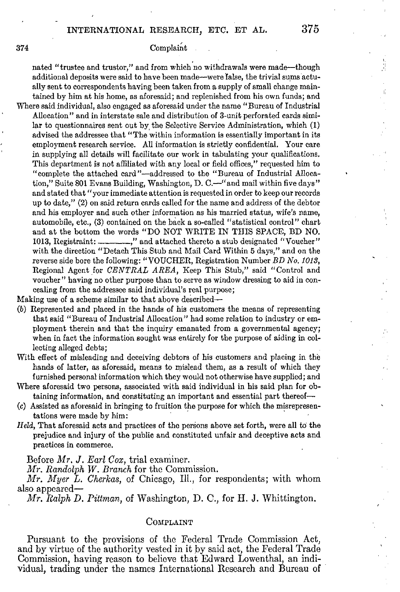# 374 Complaint

nated "trustee and trustor," and from which no withdrawals were made-though additional deposits were said to have been made-were false, the trivial su\_ms actually sent to correspondents having been taken from a supply of small change maintained by him at his home, as aforesaid; and replenished from his own funds; and Where said individual, also engaged as aforesaid under the name "Bureau of Industrial Allocation" and in interstate sale and distribution of 3-unit perforated cards similar to questionnaires sent out by the Selective Service Administration, which (1) advised the addressee that "The within information is essentially important in its employment research service. All information is strictly confidential. Your care in supplying all details will facilitate our work in tabulating your qualifications. This department is not affiliated with any local or field offices," requested him to "complete the attached card"--addressed to the "Bureau of Industrial Allocation," Suite 801 Evans Building, Washington, D. C.—"and mail within five days" and stated that"your immediate attention is requested in order to keep our records up to date," (2) on said return cards called for the name and address of the debtor and his employer and such other information as his married status, wife's name, automobile, etc., (3) contained on the back a so-called "statistical control" chart and at the bottom the words "DO NOT WRITE IN THIS SPACE, BD NO. 1013, Registraint: ----------," and attached thereto a stub designated "Voucher" with the direction "Detach This Stub and Mail Card Within 5 days," and on the reverse side bore the following: "VOUCHER, Registration Number BD No. 1013, Regional Agent for *CENTRAL AREA,* Keep This Stub," said "Control and voucher" having no other purpose than to serve as window dressing to aid in concealing from the addressee said individual's real purpose;

Making use of a scheme similar to that above described-

- (b) Represented and placed in the hands of his customers the means of representing that said "Bureau of Industrial Allocation" had some relation to industry or employment therein and that the inquiry emanated from a governmental agency; when in fact the information sought was entirely for the purpose of aiding in collecting alleged debts;
- With effect of misleading and deceiving debtors of his customers and placing in the hands of latter, as aforesaid, means to mislead them, as a result of which they furnished personal information which they would not otherwise have supplied; and
- Where aforesaid two persons, associated with said individual in his said plan for obtaining information, and constituting an important and essential part thereof
- (c) Assisted as aforesaid in bringing to fruition the purpose for which the misrepresentations were made by him:
- *Held,* That aforesaid acts and practices of the persons above set forth, were all to the prejudice and injury of the public and constituted unfair and deceptive acts and practices in commerce.

Before *Mr.* J. *Earl Cox,* trial examiner.

*Mr. Randolph W. Branch* for the Commission.

*Mr. Myer L. Cherkas,* of Chicago, Ill., for respondents; with whom also appcared-

*M*r. *Ralph D. Pittman,* of Washington, D. C., for H. J. Whittington.

## COMPLAINT

Pursuant to the provisions of the Federal Trade Commission Act, and by virtue of the authority vested in it by said act, the Federal Trade Commission, having reason to believe that Edward Lowenthal, an individual, trading under the names International Research and Bureau of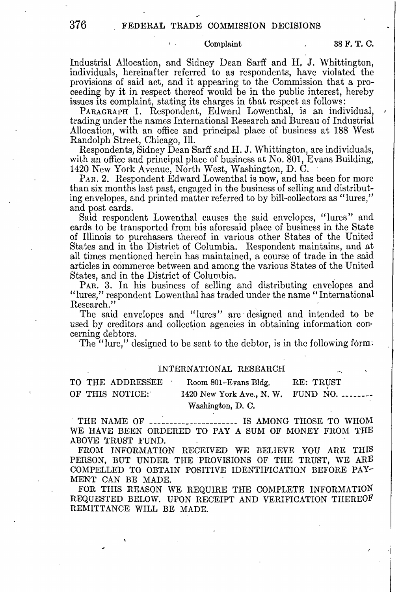## Complaint **38F. T. C.**

Industrial Allocation, and Sidney Dean Sarff and **H, J.** Whittington, individuals, hereinafter referred to as respondents, have violated the provisions of said act, and it appearing to the Commission that a proceeding by it in respect thereof would be in the public interest, hereby issues its complaint, stating its charges in that respect as follows:

trading under the names International Research and Bureau of Industrial Allocation, with an office and principal place of business at 188 West

Respondents, Sidney Dean Sarff and H. J. Whittington, are individuals, with an office and principal place of business at No. 801, Evans Building, 1420 New York Avenue, North West, Washington, D. C.

PAR. 2. Respondent Edward Lowenthal is now, and has been for more than six months last past, engaged in the business of selling and distributing envelopes, and printed matter referred to by bill-collectors as "lures," and post cards.

Said respondent Lowenthal causes the said envelopes, "lures" and cards to be transported from his aforesaid place of business in the State of Illinois to purchasers thereof in various other States of the United States and in the District of Columbia. Respondent maintains, and at all times mentioned herein has maintained, a course of trade in the said articles in commerce between and among the various States of the United States, and in the District of Columbia. \_

**PAR. 3.** In his business of selling and distributing envelopes and "lures," respondent Lowenthal has traded under the name "International Research." The contraction of the contraction of the contraction of the contraction of the contraction of the contraction of the contraction of the contraction of the contraction of the contraction of the contraction of th

The said envelopes and "lures" are· designed and intended to *be*  used by creditors and collection agencies in obtaining information concerning debtors.

The "lure," designed to be sent to the debtor, is in the following form:

## INTERNATIONAL RESEARCH

TO THE ADDRESSEE Room 801-Evans Bldg. RE: TRVST OF THIS NOTICE: 1420 New York Ave., N.W. FUND NO. Washington, D. C.

THE NAME OF --------------------- IS AMONG THOSE TO WHOM WE HAVE BEEN ORDERED TO PAY A SUM OF MONEY FROM THE ABOVE TRUST FUND.

FROM INFORMATION RECEIVED WE BELIEVE YOU ARE THIS PERSON, BUT UNDER THE PROVISIONS OF THE TRUST, WE ARE COMPELLED TO OBTAIN POSITIVE IDENTIFICATION BEFORE PAY-MENT CAN BE MADE.

FOR THIS REASON WE REQUIRE THE COMPLETE INFORMATION REQUESTED BELOW. UPON RECEIPT AND VERIFICATION THEREOF REMITTANCE WILL BE MADE.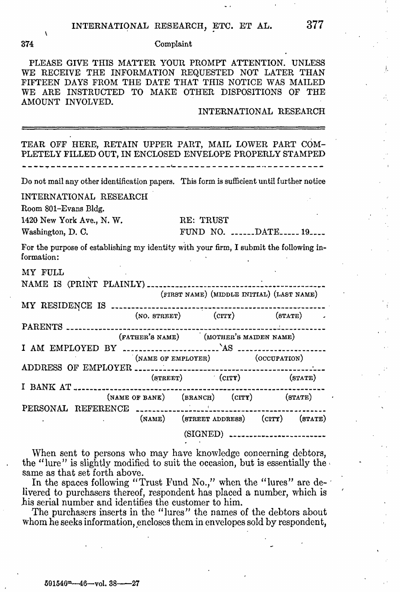## **374** Complaint

PLEASE GIVE THIS MATTER YOUR PROMPT ATTENTION. UNLESS WE RECEIVE THE INFORMATION REQUESTED NOT LATER THAN FIFTEEN DAYS FROM THE DATE THAT THIS NOTICE WAS MAILED WE ARE INSTRUCTED TO MAKE OTHER DISPOSITIONS OF THE AMOUNT INVOLVED.

INTERNATIONAL RESEARCH

| TEAR OFF HERE, RETAIN UPPER PART, MAIL LOWER PART COM-<br>PLETELY FILLED OUT, IN ENCLOSED ENVELOPE PROPERLY STAMPED                                                                                                                                                                             |
|-------------------------------------------------------------------------------------------------------------------------------------------------------------------------------------------------------------------------------------------------------------------------------------------------|
| Do not mail any other identification papers. This form is sufficient until further notice                                                                                                                                                                                                       |
|                                                                                                                                                                                                                                                                                                 |
|                                                                                                                                                                                                                                                                                                 |
|                                                                                                                                                                                                                                                                                                 |
| For the purpose of establishing my identity with your firm, I submit the following in-                                                                                                                                                                                                          |
| (FIRST NAME) (MIDDLE INITIAL) (LAST NAME)                                                                                                                                                                                                                                                       |
|                                                                                                                                                                                                                                                                                                 |
|                                                                                                                                                                                                                                                                                                 |
|                                                                                                                                                                                                                                                                                                 |
|                                                                                                                                                                                                                                                                                                 |
|                                                                                                                                                                                                                                                                                                 |
|                                                                                                                                                                                                                                                                                                 |
|                                                                                                                                                                                                                                                                                                 |
|                                                                                                                                                                                                                                                                                                 |
|                                                                                                                                                                                                                                                                                                 |
|                                                                                                                                                                                                                                                                                                 |
|                                                                                                                                                                                                                                                                                                 |
|                                                                                                                                                                                                                                                                                                 |
| (NAME) (STREET ADDRESS) (CITY) (STATE)                                                                                                                                                                                                                                                          |
| (SIGNED) -------------------------                                                                                                                                                                                                                                                              |
| RE: TRUST<br>FUND NO. DATE 19<br>PARENTS<br>(FATHER'S NAME) (MOTHER'S MAIDEN NAME)<br>(NAME OF EMPLOYER) (OCCUPATION)<br>ADDRESS OF EMPLOYER __________________<br>$(STREET)$ $(CITY)$ $(STATE)$<br>(NAME OF BANE) (BRANCH) (CITY) (STATE)<br>PERSONAL REFERENCE ------------------------------ |

When sent to persons who may have knowledge concerning debtors, the "lure" is slightly modified to suit the occasion, but is essentially the same as that set forth above.

In the spaces following "Trust Fund No.," when the "lures" are delivered to purchasers thereof, respondent has placed a number, which is his serial number and identifies the customer to him.

The purchasers inserts in the "lures" the names of the debtors about whom he seeks information, encloses them in envelopes sold by respondent,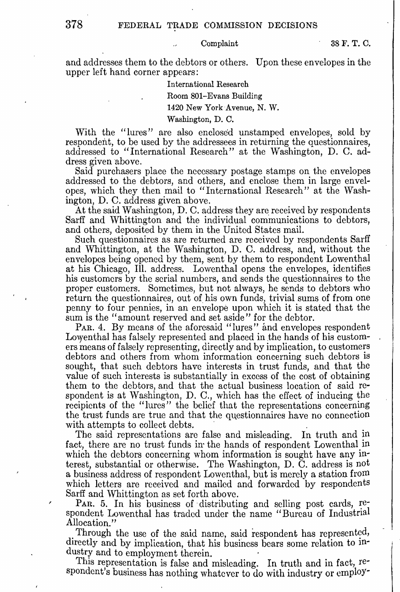## Complaint 38 F. T. C.

and addresses them to the debtors or others. Upon these envelopes in the upper left hand corner appears:

# International Research

Room 801-Evans Building

1420 New York Avenue, N. W.

## Washington, D. C.

With the "lures" are also enclosed unstamped envelopes, sold by respondent, to be used by the addressees in returning the questionnaires, addressed to "International Research" at the Washington, D. C. address given above.

Said purchasers place the necessary postage stamps on the envelopes addressed to the debtors, and others, and enclose them in large envelopes, which they then mail to "International Research" at the Washington, **D.** C. address given above.

At the said Washington, D. C. address they are received by respondents Sarff and Whittington and the individual communications to debtors, and others, deposited by them in the United States mail.

Such questionnaires as are returned are received by respondents Sarff and Whittington, at the Washington, D. C. address, and, without the envelopes being opened by them, sent by them to respondent Lowenthal at his Chicago, Ill. address. Lowenthal opens the envelopes, identifies his customers by the serial numbers, and sends the questionnaires to the proper customers. Sometimes, but not always, he sends to debtors who return the questionnaires, out of his own funds, trivial sums of from one penny to four pennies, in an envelope upon which it is stated that the sum is the "amount reserved and set aside" for the debtor.

PAR. 4. By means of the aforesaid "lures" and envelopes respondent Lowenthal has falsely represented and placed in the hands of his customers means of falsely representing, directly and by implication, to customers debtors and others from whom information concerning such debtors is sought, that such debtors have interests in trust funds, and that the value of such interests is substantially in excess of the cost of obtaining them to the debtors, and that the actual business location of said respondent is at Washington, D. C., which has the effect of inducing the recipients of the "lures" the belief that the representations concerning the trust funds are true and that the questionnaires have no connection

with attempts to collect debts.<br>The said representations are false and misleading. In truth and in fact, there are no trust funds in the hands of respondent Lowenthal in which the debtors concerning whom information is sought have any interest, substantial or otherwise. The Washington, D. C. address is not a business address of respondent Lowenthal, but is merely a station from which letters are received and mailed and forwarded by respondents Sarff and Whittington as set forth above.

PAR. 5. In his business of distributing and selling post cards,  $\text{re-}$ spondent Lowenthal has traded under the name "Bureau of Industrial Allocation."

Through the use of the said name, said respondent has represented, directly and by implication, that his business bears some relation to industry and to employment therein.<br>This representation is false and misleading. In truth and in fact, re-

spondent's business has nothing whatever to do with industry or employ-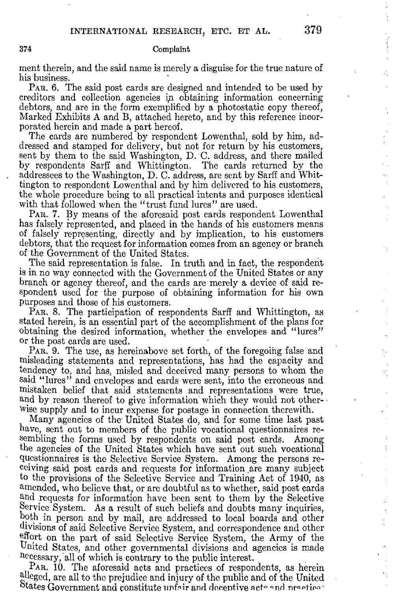## 374 Complaint

ment therein, and the said name is merely a disguise for the true nature of his business.

PAR. 6. The said post cards are designed and intended to be used by creditors and collection agencies in obtaining information concerning debtors, and are in the form exemplified by a photostatic copy thereof, Marked Exhibits A and **B,** attached hereto, and by this reference incorporated herein and made a part hereof.

The cards are numbered by respondent Lowenthal, sold by him, addressed and stamped for delivery, but not for return by his customers, sent by them to the said Washington, D. C. address, and there mailed by respondents Sarff and Whittington. The cards returned by the addressees to the Washington, D. C. address, are sent by Sarff and Whittington to respondent Lowenthal and by him delivered to his customers, the whole procedure being to all practical intents and purposes identical with that followed when the "trust fund lures" are used.

PAR. 7. By means of the aforesaid post cards respondent Lowenthal has falsely represented, and placed in the hands of his customers means of falsely representing, directly and by implication, to his customers debtors, that the request for information comes from an agency or branch of the Government of the United States.

The said representation is false. In truth and in fact, the respondent is in no way connected with the Government of the United States or any branch or agency thereof, and the cards are merely a device of said respondent used for the purpose of obtaining information for his own purposes and those of his customers.

PAR. 8. The participation of respondents Sarff and Whittington, as stated herein, is an essential part of the accomplishment of the plans for obtaining the desired information, whether the envelopes and "lures" or the post cards are used.

PAR. 9. The use, as hereinabove set forth, of the foregoing false and misleading statements and representations, has had the capacity and tendency to, and has, misled and deceived many persons to whom the said "lures" and envelopes and cards were sent, into the erroneous and mistaken belief that said statements and representations were true, and by reason thereof to give information which they would not other-Wisc supply and to incur expense for postage in connection therewith.

Many agencies of the United States do, and for some time last past have, sent out to members of the public vocational questionnaires resembling the forms used by respondents on said post cards. Among the agencies of the United States which have sent out such vocational questionnaires is the Selective Service System. Among the persons receiving said post cards and requests for information .are many subject to the provisions of the Selective Service and Training Act of 1940, as amended, who believe that, or are doubtful as to whether, said post cards and requests for information have been sent to them by the Selective Service System. As a result of such beliefs and doubts many inquiries, both in person and by mail, are addressed to local boards and other divisions of said Selective Service System, and correspondence and other effort on the part of said Selective Service System, the Army of the United States, and other governmental divisions and agencies is made necessary, all of which is contrary to the public interest.

PAR. 10. The aforesaid acts and practices of respondents, as herein al!eged, are all to the prejudice and injury of the public and of the United States Government and constitute unfair and decentive acte and practice.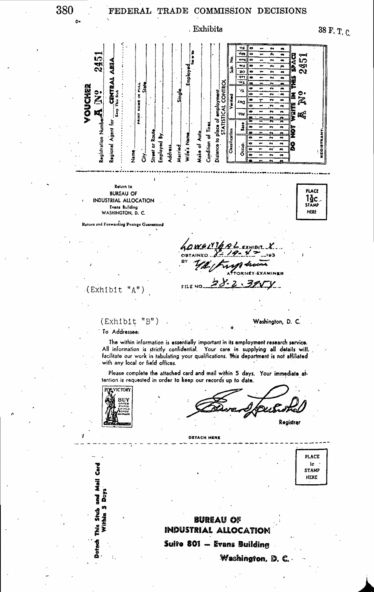o.

380 FEDERAL TRADE COMMISSION DECISIONS





**BUREAU OF** 

Washington, **D. C.** 

**INDUSTRIAL ALLOCATION Suite 801 - Evans Building** 

Within 5 Days

Dotach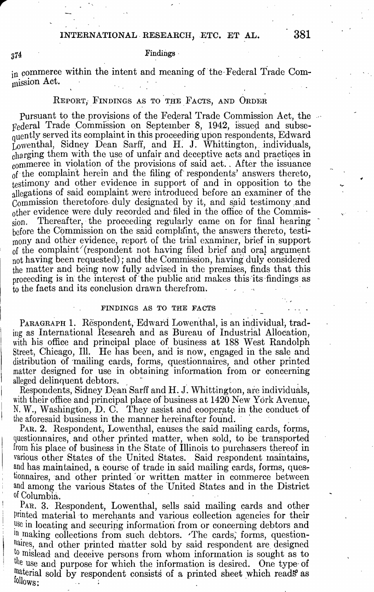# INTERNATIONAL. RESEARCH, ETC. ET **AL. 381**

# Findings - <sup>374</sup>

in commerce within the intent and meaning of the-Federal Trade Commission Act.

# REPORT, FINDINGS AS TO THE FACTS, AND ORDER

Pursuant to the provisions of the Federal Trade Commission Act, the Federal Trade Commission on September 8, 1942, issued and subsequently served its complaint in this proceeding upon respondents, Edward Lowenthal, Sidney Dean Sarff, and H. J. Whittington, individuals, charging them with the use of unfair and deceptive acts and practices in commerce in violation of the provisions of said act.. After the issuance of the complain't herein and the filing of respondents' answers thereto, testimony and other evidence in support of and in opposition to the allegations of said complaint were introduced before an examiner of the Commission theretofore- duly designated by it, and said testimony and other evidence were duly recorded and filed in the office of the Commission. Thereafter, the proceeding regularly came on for final hearing before the Commission on the said complaint, the answers thereto, testimony and other evidence, report of the trial examiner, brief in support of the complaint"(respondent not having filed brief and oral argument not having been requested); and the Commission, having duly considered the matter and being now fully advised in the premises, finds that this proceeding is in the interest of the public and makes this its findings as  $\mathbf{t}_0$  the facts and its conclusion drawn therefrom.

## FINDINGS AS TO THE FACTS

PARAGRAPH 1. Respondent, Edward Lowenthal, is an individual, trading as International Research and as Bureau of Industrial Allocation, with his office and principal place of business at 188 West Randolph Street, Chicago, Ill. He has been, and is now, engaged in the sale and distribution of mailing cards, forms, questionnaires, and other printed matter designed for use in obtaining information from or concerning alleged delinquent debtors.

Respondents, Sidney Dean Sarff and H.J. Whittington, are individuals, with their office and principal place of business at  $1420$  New York Avenue, N. W., Washingfon, D. C. They assist and cooperate in the conduct of the aforesaid business in the manner hereinafter found.

PAR. 2. Respondent, Lowenthal, causes the said mailing cards, forms, questionnaires, and other printed matter, when sold, to be transported from his place of business in the State of Illinois to purchasers thereof in various other States of the United States. Said respondent maintains, and has maintained, a course of trade in said mailing cards, forms, questionnaires, and other printed or written matter in commerce between and among the various States of the United States and in the District of Columbia.

PAR. 3. Respondent, Lowenthal, sells said mailing cards and other Prmted material to merchants and various collection agencies for their use in locating and securipg information from or concerning debtors and <sup>111</sup> making collections from such debtors. 'The cards, forms, questionhaires, and other printed matter sold by said respondent are designed to mislead and deceive persons from whom information is sought as to the use and purpose for which the information is desired. One type- of llaterial sold by respondent consists of a printed sheet which reads as allows: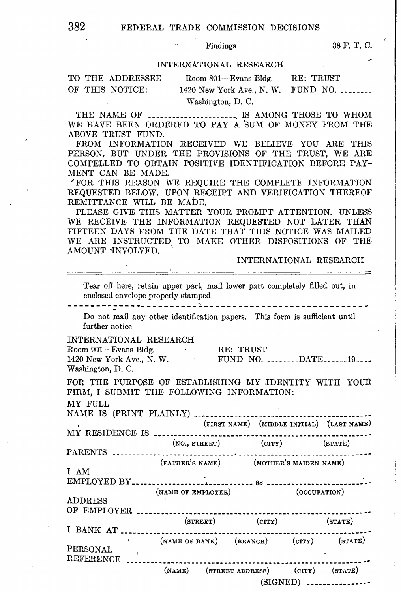Findings 38 F. T. C.

# INTERNATIONAL RESEARCH

| TO THE ADDRESSEE | Room 801—Evans Bldg.                        | RE: TRUST |
|------------------|---------------------------------------------|-----------|
| OF THIS NOTICE:  | 1420 New York Ave., N. W. FUND NO. $\ldots$ |           |
|                  | Washington, D. C.                           |           |

THE NAME OF ....................... IS AMONG THOSE TO WHOM WE HAVE BEEN ORDERED TO PAY A SUM OF MONEY FROM THE ABOVE TRUST FUND.

FROM INFORMATION RECEIVED WE BELIEVE YOU ARE THIS PERSON, BUT UNDER THE PROVISIONS OF THE TRUST, WE ARE COMPELLED TO OBTAIN POSITIVE IDENTIFICATION BEFORE PAY-MENT CAN BE MADE.

"FOR THIS REASON WE REQUIRE THE COMPLETE INFORMATION REQUESTED BELOW. UPON RECEIPT AND VERIFICATION THEREOF REMITTANCE WILL BE MADE.

PLEASE GIVE THIS MATTER YOUR PROMPT ATTENTION. UNLESS WE RECEIVE THE INFORMATION REQUESTED NOT LATER THAN FIFTEEN DAYS FROM THE DATE THAT THIS NOTICE WAS MAILED WE ARE INSTRUCTED TO MAKE OTHER DISPOSITIONS OF THE AMOUNT ·INVOLVED. ,

INTERNATIONAL RESEARCH

Tear off here, retain upper part, mail lower part completely filled out, in enclosed envelope properly stamped

-----------------------'----------------------------- Do not mail any other identification papers. This form is sufficient until further notice

INTERNATIONAL RESEARCH

| Room 901—Evans Bldg.      | RE: TRUST |                 |  |
|---------------------------|-----------|-----------------|--|
| 1420 New York Ave., N. W. |           | FUND NO. DATE19 |  |
| Washington, D.C.          |           |                 |  |

FOR THE PURPOSE OF ESTABLISHING MY .IDENTITY WITH YOUR FIRM, I SUBMIT THE FOLLOWING INFORMATION:

MY FULL

NAME IS (PRINT PLAINLY) ••••..•.••.•••••........•••...•••••••••...•• (FIRST NAME) (MIDDLE INITIAL) '(LAST NAME)

 $(SIGNED)$   $\ldots$   $\ldots$   $\ldots$   $\ldots$ 

(FATHER'S NAME) (MOTHER'S MAIDEN NAME)

l\,IY RESIDENCE IS .••.........••...••..•••••...•....••••..•..••.•.•••••• (NO., STREET) (CITY) (STAT'E) PARENTS •• \_\_ .• \_\_\_\_ •. \_\_ .•••.• \_\_ .• \_\_ .•..•. -· .•...•....•••....••.•..•••.•••

I AM

ElvIPLOYED BY •...•••••.•..••••.·•.•.•.•.••.• as ....•••.•••••.••..•••. *. : ••*  (NAME OF EMPLOYER) (OCCUPATION) ADDRESS OF EMPLOYER .......................................................... (STREET) (CITY) (STATE)

I BANK AT .•••..•.••••.•....•••••••••.•••••.•••••••.••••.•.•••••••.••••• (NAME OF BANK) (BRANCH) (CITY) (STATE) PERSONAL REFERENCE ......... (NAME) (STREET ADDRESS) (CITY) (STATE)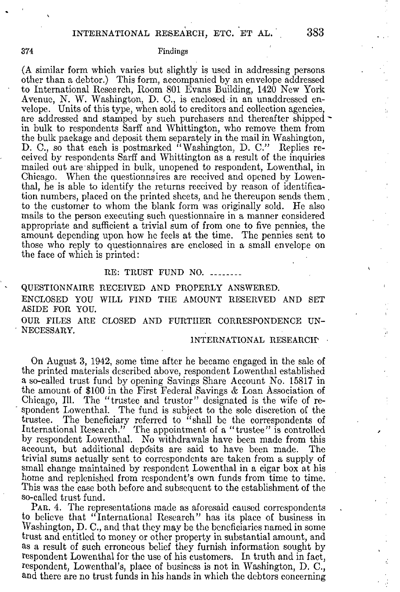# 374 Findings

(A similar form which varies but slightly is used in addressing persons other than a debtor.) This form, accompanied by an envelope addressed to International Research, Room 801 Evans Building, 1420 New York Avenue, N. W. Washington, D. C., is enclosed in an unaddressed envelope. Units of this type, when sold to creditors and collection agencies, are addressed and stamped by such purchasers and thereafter shipped in bulk to respondents Sarff and Whittington, who remove them from the bulk package and deposit them separately in the mail in Washington, D. C., so that each is postmarked "Washington, D. C." Replies received by respondents Sarff and Whittington as a result of the inquiries mailed out are· shipped in bulk, unopened to respondent, Lowenthal, in Chicago. When the questionnaires are received and opened by Lowenthal, he is able to identify the returns received by reason of identification numbers, placed on the printed sheets, and he thereupon sends them. to the customer to whom the blank form was originally sold. He also mails to the person executing such questionnaire in a manner considered appropriate and sufficient a trivial sum of from one to five pennies, the amount depending upon how he feels at the time. The pennies sent to those who reply to questionnaires are enclosed in a small envelope on the face of which is printed:

# RE: TRUST FUND NO. ...

QUESTIONNAIRE RECEIVED AND PROPERLY ANSWERED. ENCLOSED YOU WILL FIND THE AMOUNT RESERVED AND SET ASIDE FOR YOU. OUR FILES ARE CLOSED AND FURTHER CORRESPONDENCE UN-NECESSARY.

# INTERNATIONAL RESEARCHY

On August 3, 1942, some time after he became engaged in the sale of the printed materials described above, respondent Lowenthal established a so-called trust fund by opening Savings Share Account No. 15817 in the amount of \$100 in the First Federal Savings & Loan Association of spondent Lowenthal. The fund is subject to the sole discretion of the trustee. The beneficiary referred to "shall be the correspondents of International Research." The appointment of a "trustee" is controlled by respondent Lowenthal. No withdrawals have been made from this account, but additional deposits are said to have been made. The trivial sums actually sent to correspondents are taken from a supply of small change maintained by respondent Lowenthal in a cigar box at his home and replenished from respondent's own funds from time to time. This was the case both before and subsequent to the establishment of the so-called trust fund.

PAR. 4. The representations made as aforesaid caused correspondents to believe that "International Research" has its place of business in Washington, D. C., and that they may be the beneficiaries named in some trust and entitled to money or other property in substantial amount, and as a result of such erroneous belief they furnish information sought by respondent Lowenthal for the use of his customers. In truth and in fact, respondent, Lowenthal's, place of business is not in Washington, D. C., and there are no trust funds in his hands in which the debtors concerning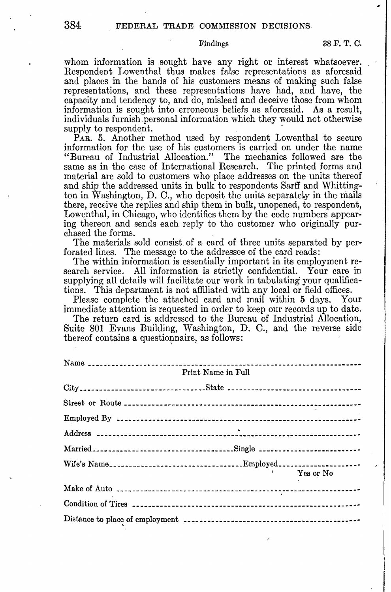whom information is sought have any right or interest whatsoever. Respondent Lowenthal thus makes false representations as aforesaid and places in the hands of his customers means of making such false representations, and these representations have had, and have, the capacity and tendency to, and do, mislead and deceive those from whom information is sought into erroneous beliefs as aforesaid. As a result, individuals furnish personal information which they would not otherwise

PAR. 5. Another method used by respondent Lowenthal to secure information for the use of his customers is carried on under the name "Bureau of Industrial Allocation." The mechanics followed are the same as in the case of International Research. The printed forms and material are sold to customers who place addresses on the units thereof and ship the addressed units in bulk to respondents Sarff and Whittington in Washington, D. C., who deposit the units separately in the mails there, receive the replies and ship them in bulk, unopened, to respondent, Lowenthal, in Chicago, who identifies them by the code numbers appearing thereon and sends each reply to the customer who originally purchased the forms.

The materials sold consist of a card of three units separated by perforated lines. The message to the addressee of the card reads:

The within information is essentially important in its employment research service. All information is strictly confidential. Your care in supplying all details will facilitate our work in tabulating your qualifications. This department is not affiliated with any local or field offices.

Please complete the attached card and mail within 5 days. Your immediate attention is requested in order to keep our records up to date.

The return card is addressed to the Bureau of Industrial Allocation, Suite 801 Evans Building, Washington, D. C., and the reverse side thereof contains a question aire, as follows:

| Print Name in Full                   |
|--------------------------------------|
|                                      |
|                                      |
|                                      |
|                                      |
|                                      |
|                                      |
| Yes or No<br><b>Burney Committee</b> |
|                                      |
|                                      |
|                                      |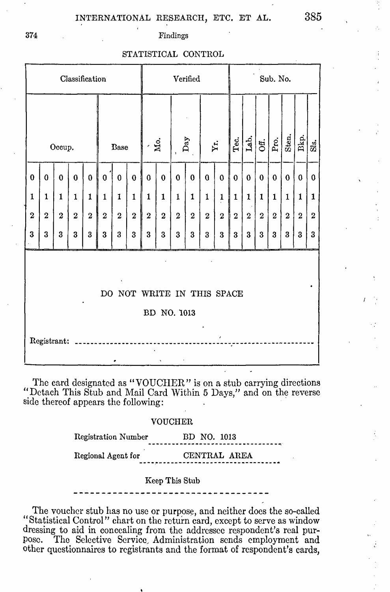# INTERNATIONAL RESEARCH, ETC. ET AL. 385

374 Findings

# STATISTICAL CONTROL

| Classification                                           |                |                  |                  |          |              | Verified       |                                   |              |                |              |                |              | Sub. No.       |               |              |              |                  |                |          |                  |
|----------------------------------------------------------|----------------|------------------|------------------|----------|--------------|----------------|-----------------------------------|--------------|----------------|--------------|----------------|--------------|----------------|---------------|--------------|--------------|------------------|----------------|----------|------------------|
| Occup.                                                   |                | Base             |                  |          | $\dot{M}$ o. |                | $_{\mathrm{Day}}$<br>$\mathbf{I}$ |              | Yr.            |              | Tec.           | Lab.         | Off.           | $_{\rm Pro.}$ | Sten.        | Bkp.         | $\mathbf{Si}$    |                |          |                  |
| $\bf{0}$                                                 | $\bf{0}$       | $\mathbf 0$      | $\bf{0}$         | $\bf{0}$ | $\pmb{0}$    | $\bf{0}$       | $\bf{0}$                          | $\bf{0}$     | $\bf{0}$       | $\bf{0}$     | $\bf{0}$       | $\bf{0}$     | $\bf{0}$       | $\bf{0}$      | $\bf{0}$     | $\mathbf 0$  | $\theta$         | $\bf{0}$       | $\bf{0}$ | $\bf{0}$         |
| 1                                                        | $\mathbf{1}$   | $\mathbf{1}$     | 1                | 1        | $\mathbf{1}$ | $\mathbf{I}$   | 1                                 | $\mathbf{1}$ | $\mathbf{1}$   | 1            | 1              | $\mathbf 1$  | 1              | $\mathbf{1}$  | $\mathbf{1}$ | 1            | $\mathbf{1}$     | $\mathbf{1}$   | 1        | $\mathbf 1$      |
| $\boldsymbol{2}$                                         | $\overline{2}$ | $\boldsymbol{2}$ | $\boldsymbol{2}$ | $\,2\,$  | $\bf 2$      | $\overline{2}$ | $\overline{2}$                    | $\bf 2$      | $\overline{2}$ | $\mathbf{2}$ | $\overline{2}$ | $\mathbf{2}$ | $\overline{2}$ | $\bf 2$       | $\mathbf{2}$ | $\mathbf{2}$ | $\boldsymbol{2}$ | $\overline{2}$ | $\bf 2$  | $\boldsymbol{2}$ |
| 3                                                        | 3              | 3                | 3                | $\bf{3}$ | 3            | 3              | 3                                 | $\bf{3}$     | 3              | 3            | $\bf{3}$       | $\bf{3}$     | $\bf{3}$       | 3             | $\bf{3}$     | $\bf{3}$     | 3                | 3              | 3        | $\bf{3}$         |
| DO NOT WRITE IN THIS SPACE<br>BD NO. 1013<br>Registrant: |                |                  |                  |          |              |                |                                   |              |                |              |                |              |                |               |              |              |                  |                |          |                  |

The card designated as "VOUCHER" is on a stub carrying directions "Detach This Stub and Mail Card Within 5 Days," and on the reverse side thereof appears the following:

## VOUCHER

Registration Number BD NO. 1013

Regional Agent for CENTRAL AREA

## Keep This Stub

The voucher stub has no use or purpose, and neither does the so-called "Statistical Control" chart on the return card, except to serve as window dressing to aid in concealing from the addressee respondent's real pur-<br>pose. The Selective Service Administration sends employment and The Selective Service, Administration sends employment and other questionnaires to registrants and the format of respondent's cards,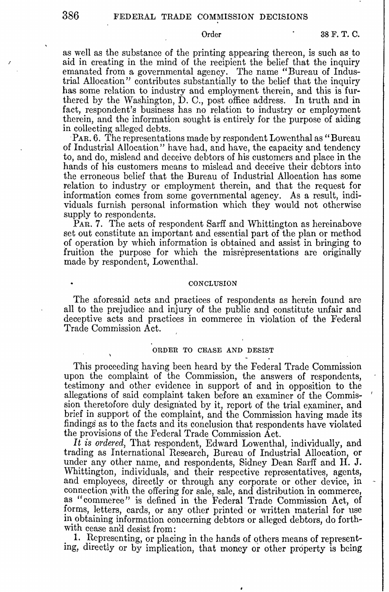as well as the substance of the printing appearing thereon, is such as to aid in creating in the mind of the recipient the belief that the inquiry emanated from a governmental agency. The name "Bureau of Industrial Allocation" contributes substantially to the belief that the inquiry has some relation to industry and employment therein, and this is furthered by the Washington,  $\dot{\mathbf{D}}$ . C., post office address. In truth and in fact, respondent's business has no relation to industry or employment therein, and the information sought is entirely for the purpose of aiding in collecting alleged debts.

PAR. 6. The representations made by respondent Lowenthal as "Bureau of Industrial Allocation" have had, and have, the capacity and tendency to, and do, mislead and deceive debtors of his customers and place in the hands of his customers means to mislead and deceive their debtors into the erroneous belief that the Bureau of Industrial Allocation has some relation to industry or employment therein, and that the request for information comes from some governmental agency. As a result, individuals furnish personal information which they would not otherwise supply to respondents.

PAR. 7. The acts of respondent Sarff and Whittington as hereinabove set out constitute an important and essential part of the plan or method of operation by which information is obtained and assist in bringing to fruition the purpose for which the misrepresentations are originally made by respondent, Lowenthal.

# **CONCLUSION**

The aforesaid acts and practices of respondents as herein found are all to the prejudice and injury of the public and constitute unfair and deceptive acts and practices in commerce in violation of the Federal Trade Commission Act.

# ORDER TO CEASE AND DESIST

This proceeding having been heard by the Federal Trade Commission upon the complaint of the Commission, the answers of respondents, testimony and other evidence in support of and in opposition to the allegations of said complaint taken before an examiner of the Commis- ' sion theretofore duly designated by it, report of the trial examiner, and brief in support of the complaint, and the Commission having made its findings as to the facts and its conclusion that respondents have violated the provisions of the Federal Trade Commission Act.

*It is ordered,* That respondent, Edward Lowenthal, individually, and trading as International Research, Bureau of Industrial Allocation, or under any other name, and respondents, Sidney Dean Sarff and **H. J.**  Whittington, individuals, and their respective representatives, agents, and employees, directly or through any corporate or other device, in connection ,with the offering for sale, sale, and distribution in commerce, as "commerce" is defined in the Federal Trade Commission Act, of forms, letters, cards, or any othet printed or written material for use in obtaining information concerning debtors or alleged debtors, do forthwith cease and desist from:

1. Representing, or placing in the hands of others means of representing, directly or by implication, that money or other property is being